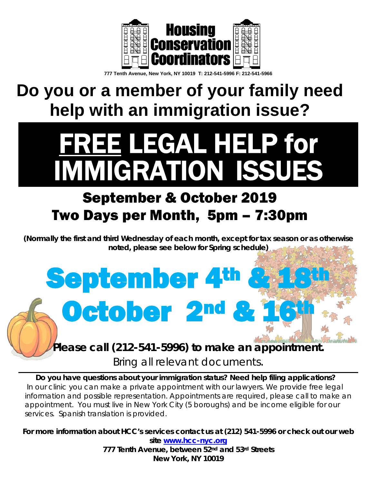

**777 Tenth Avenue, New York, NY 10019 T: 212-541-5996 F: 212-541-5966**

### **Do you or a member of your family need help with an immigration issue?**

# FREE LEGAL HELP for<br>IMMIGRATION ISSUES

### September & October 2019 Two Days per Month, 5pm – 7:30pm

**September 4th** 

October 2<sup>nd</sup> &

*(Normally the first and third Wednesday of each month, except for tax season or as otherwise noted, please see below for Spring schedule)*

#### *Please call (212-541-5996) to make an appointment.*

*Bring all relevant documents*.

*Do you have questions about your immigration status? Need help filing applications? In our clinic you can make a private appointment with our lawyers. We provide free legal information and possible representation. Appointments are required, please call to make an appointment. You must live in New York City (5 boroughs) and be income eligible for our services. Spanish translation is provided.*

*For more information about HCC's services contact us at (212) 541-5996 or check out our web site* **[www.hcc-nyc.org](http://www.hcc-nyc.org/)** *777 Tenth Avenue, between 52nd and 53rd Streets*

*New York, NY 10019*